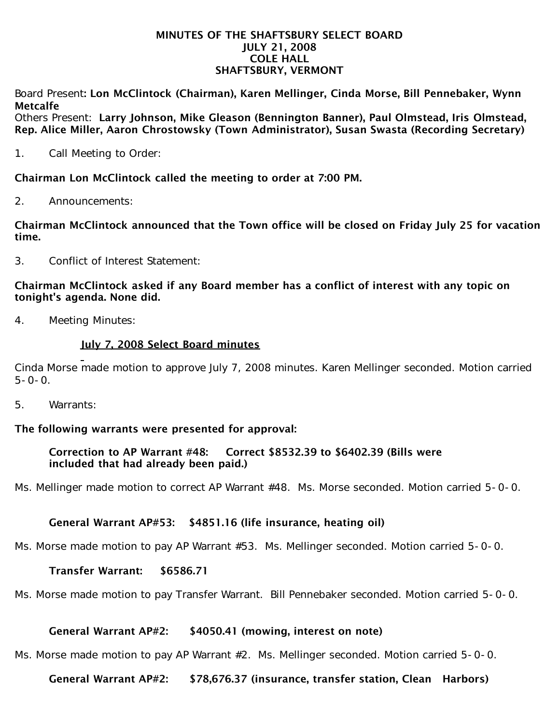#### MINUTES OF THE SHAFTSBURY SELECT BOARD JULY 21, 2008 COLE HALL SHAFTSBURY, VERMONT

Board Present: Lon McClintock (Chairman), Karen Mellinger, Cinda Morse, Bill Pennebaker, Wynn Metcalfe

Others Present: Larry Johnson, Mike Gleason (Bennington Banner), Paul Olmstead, Iris Olmstead, Rep. Alice Miller, Aaron Chrostowsky (Town Administrator), Susan Swasta (Recording Secretary)

1. Call Meeting to Order:

Chairman Lon McClintock called the meeting to order at 7:00 PM.

2. Announcements:

Chairman McClintock announced that the Town office will be closed on Friday July 25 for vacation time.

3. Conflict of Interest Statement:

## Chairman McClintock asked if any Board member has a conflict of interest with any topic on tonight's agenda. None did.

4. Meeting Minutes:

## July 7, 2008 Select Board minutes

Cinda Morse made motion to approve July 7, 2008 minutes. Karen Mellinger seconded. Motion carried  $5 - 0 - 0$ .

5. Warrants:

## The following warrants were presented for approval:

### Correction to AP Warrant #48: Correct \$8532.39 to \$6402.39 (Bills were included that had already been paid.)

Ms. Mellinger made motion to correct AP Warrant #48. Ms. Morse seconded. Motion carried 5-0-0.

## General Warrant AP#53: \$4851.16 (life insurance, heating oil)

Ms. Morse made motion to pay AP Warrant #53. Ms. Mellinger seconded. Motion carried 5-0-0.

### Transfer Warrant: \$6586.71

Ms. Morse made motion to pay Transfer Warrant. Bill Pennebaker seconded. Motion carried 5-0-0.

### General Warrant AP#2: \$4050.41 (mowing, interest on note)

Ms. Morse made motion to pay AP Warrant #2. Ms. Mellinger seconded. Motion carried 5-0-0.

### General Warrant AP#2: \$78,676.37 (insurance, transfer station, Clean Harbors)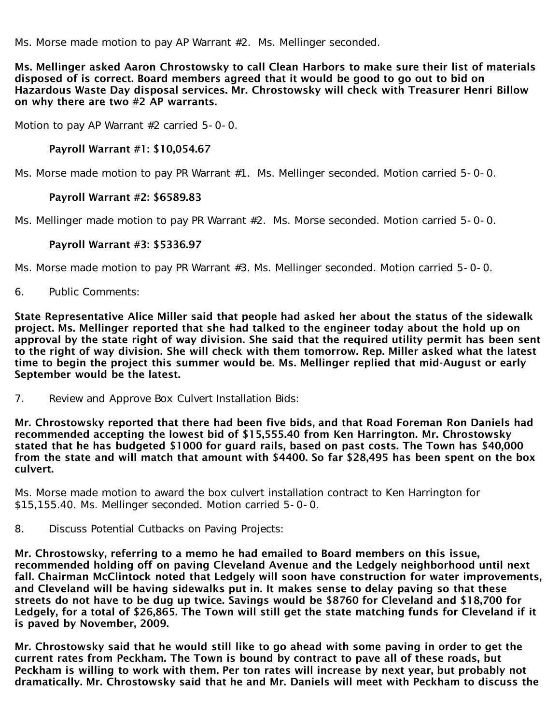Ms. Morse made motion to pay AP Warrant #2. Ms. Mellinger seconded.

Ms. Mellinger asked Aaron Chrostowsky to call Clean Harbors to make sure their list of materials disposed of is correct. Board members agreed that it would be good to go out to bid on Hazardous Waste Day disposal services. Mr. Chrostowsky will check with Treasurer Henri Billow on why there are two #2 AP warrants.

Motion to pay AP Warrant #2 carried 5-0-0.

## Payroll Warrant #1: \$10,054.67

Ms. Morse made motion to pay PR Warrant #1. Ms. Mellinger seconded. Motion carried 5-0-0.

## Payroll Warrant #2: \$6589.83

Ms. Mellinger made motion to pay PR Warrant #2. Ms. Morse seconded. Motion carried 5-0-0.

## Payroll Warrant #3: \$5336.97

Ms. Morse made motion to pay PR Warrant #3. Ms. Mellinger seconded. Motion carried 5-0-0.

6. Public Comments:

State Representative Alice Miller said that people had asked her about the status of the sidewalk project. Ms. Mellinger reported that she had talked to the engineer today about the hold up on approval by the state right of way division. She said that the required utility permit has been sent to the right of way division. She will check with them tomorrow. Rep. Miller asked what the latest time to begin the project this summer would be. Ms. Mellinger replied that mid-August or early September would be the latest.

7. Review and Approve Box Culvert Installation Bids:

Mr. Chrostowsky reported that there had been five bids, and that Road Foreman Ron Daniels had recommended accepting the lowest bid of \$15,555.40 from Ken Harrington. Mr. Chrostowsky stated that he has budgeted \$1000 for guard rails, based on past costs. The Town has \$40,000 from the state and will match that amount with \$4400. So far \$28,495 has been spent on the box culvert.

Ms. Morse made motion to award the box culvert installation contract to Ken Harrington for \$15,155.40. Ms. Mellinger seconded. Motion carried 5-0-0.

8. Discuss Potential Cutbacks on Paving Projects:

Mr. Chrostowsky, referring to a memo he had emailed to Board members on this issue, recommended holding off on paving Cleveland Avenue and the Ledgely neighborhood until next fall. Chairman McClintock noted that Ledgely will soon have construction for water improvements, and Cleveland will be having sidewalks put in. It makes sense to delay paving so that these streets do not have to be dug up twice. Savings would be \$8760 for Cleveland and \$18,700 for Ledgely, for a total of \$26,865. The Town will still get the state matching funds for Cleveland if it is paved by November, 2009.

Mr. Chrostowsky said that he would still like to go ahead with some paving in order to get the current rates from Peckham. The Town is bound by contract to pave all of these roads, but Peckham is willing to work with them. Per ton rates will increase by next year, but probably not dramatically. Mr. Chrostowsky said that he and Mr. Daniels will meet with Peckham to discuss the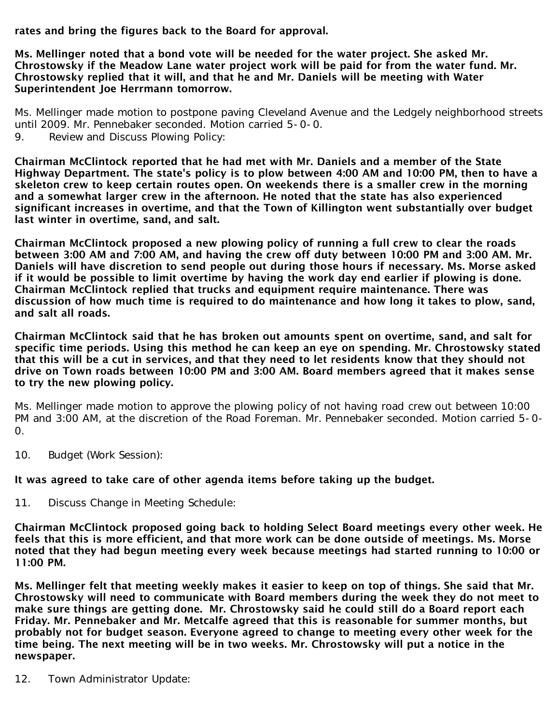rates and bring the figures back to the Board for approval.

Ms. Mellinger noted that a bond vote will be needed for the water project. She asked Mr. Chrostowsky if the Meadow Lane water project work will be paid for from the water fund. Mr. Chrostowsky replied that it will, and that he and Mr. Daniels will be meeting with Water Superintendent Joe Herrmann tomorrow.

Ms. Mellinger made motion to postpone paving Cleveland Avenue and the Ledgely neighborhood streets until 2009. Mr. Pennebaker seconded. Motion carried 5-0-0.<br>9. Review and Discuss Plowing Policy:

Review and Discuss Plowing Policy:

Chairman McClintock reported that he had met with Mr. Daniels and a member of the State Highway Department. The state's policy is to plow between 4:00 AM and 10:00 PM, then to have a skeleton crew to keep certain routes open. On weekends there is a smaller crew in the morning and a somewhat larger crew in the afternoon. He noted that the state has also experienced significant increases in overtime, and that the Town of Killington went substantially over budget last winter in overtime, sand, and salt.

Chairman McClintock proposed a new plowing policy of running a full crew to clear the roads between 3:00 AM and 7:00 AM, and having the crew off duty between 10:00 PM and 3:00 AM. Mr. Daniels will have discretion to send people out during those hours if necessary. Ms. Morse asked if it would be possible to limit overtime by having the work day end earlier if plowing is done. Chairman McClintock replied that trucks and equipment require maintenance. There was discussion of how much time is required to do maintenance and how long it takes to plow, sand, and salt all roads.

Chairman McClintock said that he has broken out amounts spent on overtime, sand, and salt for specific time periods. Using this method he can keep an eye on spending. Mr. Chrostowsky stated that this will be a cut in services, and that they need to let residents know that they should not drive on Town roads between 10:00 PM and 3:00 AM. Board members agreed that it makes sense to try the new plowing policy.

Ms. Mellinger made motion to approve the plowing policy of not having road crew out between 10:00 PM and 3:00 AM, at the discretion of the Road Foreman. Mr. Pennebaker seconded. Motion carried 5-0- 0.

10. Budget (Work Session):

# It was agreed to take care of other agenda items before taking up the budget.

11. Discuss Change in Meeting Schedule:

Chairman McClintock proposed going back to holding Select Board meetings every other week. He feels that this is more efficient, and that more work can be done outside of meetings. Ms. Morse noted that they had begun meeting every week because meetings had started running to 10:00 or 11:00 PM.

Ms. Mellinger felt that meeting weekly makes it easier to keep on top of things. She said that Mr. Chrostowsky will need to communicate with Board members during the week they do not meet to make sure things are getting done. Mr. Chrostowsky said he could still do a Board report each Friday. Mr. Pennebaker and Mr. Metcalfe agreed that this is reasonable for summer months, but probably not for budget season. Everyone agreed to change to meeting every other week for the time being. The next meeting will be in two weeks. Mr. Chrostowsky will put a notice in the newspaper.

12. Town Administrator Update: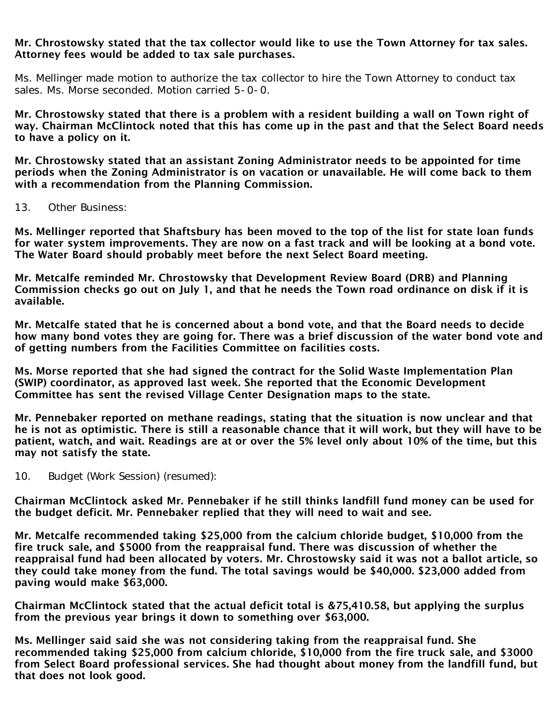### Mr. Chrostowsky stated that the tax collector would like to use the Town Attorney for tax sales. Attorney fees would be added to tax sale purchases.

Ms. Mellinger made motion to authorize the tax collector to hire the Town Attorney to conduct tax sales. Ms. Morse seconded. Motion carried 5-0-0.

Mr. Chrostowsky stated that there is a problem with a resident building a wall on Town right of way. Chairman McClintock noted that this has come up in the past and that the Select Board needs to have a policy on it.

Mr. Chrostowsky stated that an assistant Zoning Administrator needs to be appointed for time periods when the Zoning Administrator is on vacation or unavailable. He will come back to them with a recommendation from the Planning Commission.

13. Other Business:

Ms. Mellinger reported that Shaftsbury has been moved to the top of the list for state loan funds for water system improvements. They are now on a fast track and will be looking at a bond vote. The Water Board should probably meet before the next Select Board meeting.

Mr. Metcalfe reminded Mr. Chrostowsky that Development Review Board (DRB) and Planning Commission checks go out on July 1, and that he needs the Town road ordinance on disk if it is available.

Mr. Metcalfe stated that he is concerned about a bond vote, and that the Board needs to decide how many bond votes they are going for. There was a brief discussion of the water bond vote and of getting numbers from the Facilities Committee on facilities costs.

Ms. Morse reported that she had signed the contract for the Solid Waste Implementation Plan (SWIP) coordinator, as approved last week. She reported that the Economic Development Committee has sent the revised Village Center Designation maps to the state.

Mr. Pennebaker reported on methane readings, stating that the situation is now unclear and that he is not as optimistic. There is still a reasonable chance that it will work, but they will have to be patient, watch, and wait. Readings are at or over the 5% level only about 10% of the time, but this may not satisfy the state.

10. Budget (Work Session) (resumed):

Chairman McClintock asked Mr. Pennebaker if he still thinks landfill fund money can be used for the budget deficit. Mr. Pennebaker replied that they will need to wait and see.

Mr. Metcalfe recommended taking \$25,000 from the calcium chloride budget, \$10,000 from the fire truck sale, and \$5000 from the reappraisal fund. There was discussion of whether the reappraisal fund had been allocated by voters. Mr. Chrostowsky said it was not a ballot article, so they could take money from the fund. The total savings would be \$40,000. \$23,000 added from paving would make \$63,000.

Chairman McClintock stated that the actual deficit total is &75,410.58, but applying the surplus from the previous year brings it down to something over \$63,000.

Ms. Mellinger said said she was not considering taking from the reappraisal fund. She recommended taking \$25,000 from calcium chloride, \$10,000 from the fire truck sale, and \$3000 from Select Board professional services. She had thought about money from the landfill fund, but that does not look good.